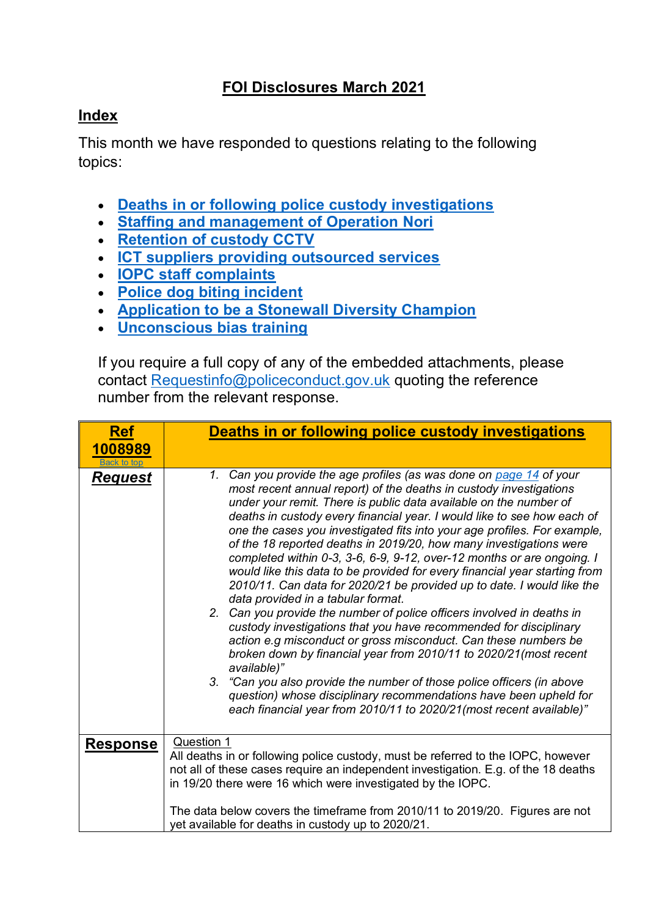## **FOI Disclosures March 2021**

## <span id="page-0-1"></span>**Index**

This month we have responded to questions relating to the following topics:

- **[Deaths in or following police custody investigations](#page-0-0)**
- **[Staffing and management of Operation Nori](#page-2-0)**
- **[Retention of custody CCTV](#page-5-0)**
- **[ICT suppliers providing outsourced services](#page-6-0)**
- **[IOPC staff complaints](#page-7-0)**
- **[Police dog biting incident](#page-7-1)**
- **[Application to be a Stonewall Diversity Champion](#page-8-0)**
- **[Unconscious bias training](#page-9-0)**

If you require a full copy of any of the embedded attachments, please contact [Requestinfo@policeconduct.gov.uk](mailto:Requestinfo@policeconduct.gov.uk) quoting the reference number from the relevant response.

<span id="page-0-0"></span>

| <b>Ref</b>         | Deaths in or following police custody investigations                                                                                                                                                                                                                                                                                                                                                                                                                                                                                                                                                                                                                                                                                                                                                                                                                                                                                                                                                                                                                                                                                                                                                                                            |
|--------------------|-------------------------------------------------------------------------------------------------------------------------------------------------------------------------------------------------------------------------------------------------------------------------------------------------------------------------------------------------------------------------------------------------------------------------------------------------------------------------------------------------------------------------------------------------------------------------------------------------------------------------------------------------------------------------------------------------------------------------------------------------------------------------------------------------------------------------------------------------------------------------------------------------------------------------------------------------------------------------------------------------------------------------------------------------------------------------------------------------------------------------------------------------------------------------------------------------------------------------------------------------|
| 1008989            |                                                                                                                                                                                                                                                                                                                                                                                                                                                                                                                                                                                                                                                                                                                                                                                                                                                                                                                                                                                                                                                                                                                                                                                                                                                 |
| <b>Back to top</b> |                                                                                                                                                                                                                                                                                                                                                                                                                                                                                                                                                                                                                                                                                                                                                                                                                                                                                                                                                                                                                                                                                                                                                                                                                                                 |
| <u>Request</u>     | 1. Can you provide the age profiles (as was done on page 14 of your<br>most recent annual report) of the deaths in custody investigations<br>under your remit. There is public data available on the number of<br>deaths in custody every financial year. I would like to see how each of<br>one the cases you investigated fits into your age profiles. For example,<br>of the 18 reported deaths in 2019/20, how many investigations were<br>completed within 0-3, 3-6, 6-9, 9-12, over-12 months or are ongoing. I<br>would like this data to be provided for every financial year starting from<br>2010/11. Can data for 2020/21 be provided up to date. I would like the<br>data provided in a tabular format.<br>2. Can you provide the number of police officers involved in deaths in<br>custody investigations that you have recommended for disciplinary<br>action e.g misconduct or gross misconduct. Can these numbers be<br>broken down by financial year from 2010/11 to 2020/21(most recent<br>available)"<br>3. "Can you also provide the number of those police officers (in above<br>question) whose disciplinary recommendations have been upheld for<br>each financial year from 2010/11 to 2020/21(most recent available)" |
| <b>Response</b>    | Question 1                                                                                                                                                                                                                                                                                                                                                                                                                                                                                                                                                                                                                                                                                                                                                                                                                                                                                                                                                                                                                                                                                                                                                                                                                                      |
|                    | All deaths in or following police custody, must be referred to the IOPC, however<br>not all of these cases require an independent investigation. E.g. of the 18 deaths                                                                                                                                                                                                                                                                                                                                                                                                                                                                                                                                                                                                                                                                                                                                                                                                                                                                                                                                                                                                                                                                          |
|                    | in 19/20 there were 16 which were investigated by the IOPC.                                                                                                                                                                                                                                                                                                                                                                                                                                                                                                                                                                                                                                                                                                                                                                                                                                                                                                                                                                                                                                                                                                                                                                                     |
|                    | The data below covers the timeframe from 2010/11 to 2019/20. Figures are not                                                                                                                                                                                                                                                                                                                                                                                                                                                                                                                                                                                                                                                                                                                                                                                                                                                                                                                                                                                                                                                                                                                                                                    |
|                    | yet available for deaths in custody up to 2020/21.                                                                                                                                                                                                                                                                                                                                                                                                                                                                                                                                                                                                                                                                                                                                                                                                                                                                                                                                                                                                                                                                                                                                                                                              |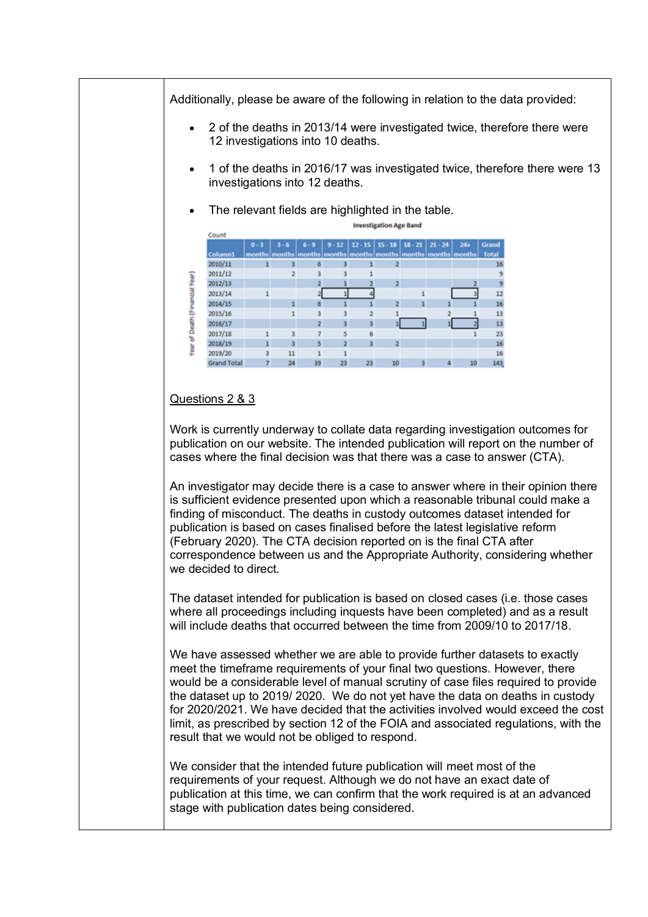Additionally, please be aware of the following in relation to the data provided:

- 2 of the deaths in 2013/14 were investigated twice, therefore there were 12 investigations into 10 deaths.
- 1 of the deaths in 2016/17 was investigated twice, therefore there were 13 investigations into 12 deaths.

Investigation Ase Band

The relevant fields are highlighted in the table.

|                                |                    | <b>HILL CALL MARKET LAND COMPANY</b> |                         |                |    |    |                         |                                                  |                                                                                |              |
|--------------------------------|--------------------|--------------------------------------|-------------------------|----------------|----|----|-------------------------|--------------------------------------------------|--------------------------------------------------------------------------------|--------------|
|                                | Count              |                                      |                         |                |    |    |                         |                                                  |                                                                                |              |
|                                |                    | $0 - 3$                              | $3 - 6$                 | $6 - 9$        |    |    |                         | $9 - 12$   12 - 15   15 - 18   18 - 21   21 - 24 | $24+$                                                                          | Grand        |
|                                | Column1            |                                      |                         |                |    |    |                         |                                                  | months   months   months   months   months   months   months   months   months | <b>Total</b> |
|                                | 2010/11            |                                      |                         | 6              |    |    |                         |                                                  |                                                                                | 16           |
|                                | 2011/12            |                                      | 2                       | 3              |    |    |                         |                                                  |                                                                                |              |
|                                | 2012/13            |                                      |                         |                |    |    | $\overline{\mathbf{z}}$ |                                                  |                                                                                |              |
| Year of Death (Financial Year) | 2013/14            |                                      |                         |                |    |    |                         |                                                  |                                                                                | 12           |
|                                | 2014/15            |                                      |                         | 8              |    |    | 2                       |                                                  |                                                                                | 16           |
|                                | 2015/16            |                                      |                         | 3              |    |    |                         |                                                  |                                                                                | 13           |
|                                | 2016/17            |                                      |                         | $\overline{2}$ | з  | з  |                         |                                                  |                                                                                | 13           |
|                                | 2017/18            |                                      | 3                       |                |    | 6  |                         |                                                  |                                                                                | 23           |
|                                | 2018/19            |                                      | $\overline{\mathbf{3}}$ | 5              |    | 3  | $\overline{\mathbf{z}}$ |                                                  |                                                                                | 16           |
|                                | 2019/20            | 3                                    | 11                      |                |    |    |                         |                                                  |                                                                                | 16           |
|                                | <b>Grand Total</b> | 7                                    | 24                      | 39             | 23 | 23 | 10                      | $\overline{\mathbf{3}}$                          | 10                                                                             | 143          |

## Questions 2 & 3

Work is currently underway to collate data regarding investigation outcomes for publication on our website. The intended publication will report on the number of cases where the final decision was that there was a case to answer (CTA).

An investigator may decide there is a case to answer where in their opinion there is sufficient evidence presented upon which a reasonable tribunal could make a finding of misconduct. The deaths in custody outcomes dataset intended for publication is based on cases finalised before the latest legislative reform (February 2020). The CTA decision reported on is the final CTA after correspondence between us and the Appropriate Authority, considering whether we decided to direct.

The dataset intended for publication is based on closed cases (i.e. those cases where all proceedings including inquests have been completed) and as a result will include deaths that occurred between the time from 2009/10 to 2017/18.

We have assessed whether we are able to provide further datasets to exactly meet the timeframe requirements of your final two questions. However, there would be a considerable level of manual scrutiny of case files required to provide the dataset up to 2019/ 2020. We do not yet have the data on deaths in custody for 2020/2021. We have decided that the activities involved would exceed the cost limit, as prescribed by section 12 of the FOIA and associated regulations, with the result that we would not be obliged to respond.

We consider that the intended future publication will meet most of the requirements of your request. Although we do not have an exact date of publication at this time, we can confirm that the work required is at an advanced stage with publication dates being considered.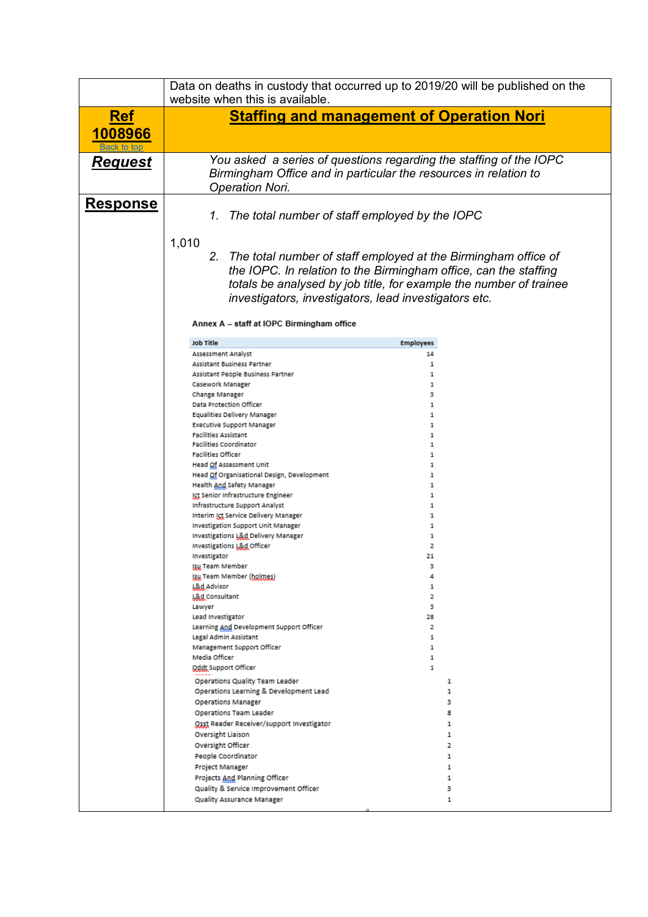<span id="page-2-0"></span>

|                 | Data on deaths in custody that occurred up to 2019/20 will be published on the<br>website when this is available.                      |                                                                                                                                    |
|-----------------|----------------------------------------------------------------------------------------------------------------------------------------|------------------------------------------------------------------------------------------------------------------------------------|
| <b>Ref</b>      |                                                                                                                                        | <b>Staffing and management of Operation Nori</b>                                                                                   |
| 1008966         |                                                                                                                                        |                                                                                                                                    |
| Back to top     |                                                                                                                                        |                                                                                                                                    |
| <u>Request</u>  | You asked a series of questions regarding the staffing of the IOPC<br>Birmingham Office and in particular the resources in relation to |                                                                                                                                    |
|                 | <b>Operation Nori.</b>                                                                                                                 |                                                                                                                                    |
| <u>Response</u> |                                                                                                                                        |                                                                                                                                    |
|                 | The total number of staff employed by the IOPC<br>1.                                                                                   |                                                                                                                                    |
|                 |                                                                                                                                        |                                                                                                                                    |
|                 | 1,010                                                                                                                                  |                                                                                                                                    |
|                 | 2.                                                                                                                                     | The total number of staff employed at the Birmingham office of<br>the IOPC. In relation to the Birmingham office, can the staffing |
|                 |                                                                                                                                        | totals be analysed by job title, for example the number of trainee                                                                 |
|                 | investigators, investigators, lead investigators etc.                                                                                  |                                                                                                                                    |
|                 |                                                                                                                                        |                                                                                                                                    |
|                 | Annex A - staff at IOPC Birmingham office                                                                                              |                                                                                                                                    |
|                 | <b>Job Title</b>                                                                                                                       | <b>Employees</b>                                                                                                                   |
|                 | Assessment Analyst                                                                                                                     | 14<br>1                                                                                                                            |
|                 | Assistant Business Partner<br>Assistant People Business Partner                                                                        | 1                                                                                                                                  |
|                 | Casework Manager                                                                                                                       | 1                                                                                                                                  |
|                 | Change Manager<br>Data Protection Officer                                                                                              | 3<br>1                                                                                                                             |
|                 | Equalities Delivery Manager                                                                                                            | 1                                                                                                                                  |
|                 | <b>Executive Support Manager</b><br><b>Facilities Assistant</b>                                                                        | 1<br>1                                                                                                                             |
|                 | Facilities Coordinator                                                                                                                 | 1                                                                                                                                  |
|                 | Facilities Officer                                                                                                                     | 1<br>1                                                                                                                             |
|                 | Head Of Assessment Unit<br>Head Of Organisational Design, Development                                                                  | 1                                                                                                                                  |
|                 | Health And Safety Manager                                                                                                              | 1                                                                                                                                  |
|                 | Ict Senior Infrastructure Engineer<br>Infrastructure Support Analyst                                                                   | 1<br>1                                                                                                                             |
|                 | Interim Ict Service Delivery Manager                                                                                                   | 1                                                                                                                                  |
|                 | Investigation Support Unit Manager<br>Investigations L&d Delivery Manager                                                              | 1<br>1                                                                                                                             |
|                 | Investigations L&d Officer                                                                                                             | 2                                                                                                                                  |
|                 | Investigator                                                                                                                           | 21                                                                                                                                 |
|                 | Isu Team Member<br>Isu Team Member (holmes)                                                                                            | з<br>4                                                                                                                             |
|                 | <b>L&amp;d Advisor</b>                                                                                                                 | 1                                                                                                                                  |
|                 | L&d Consultant<br>Lawyer                                                                                                               | 2<br>з                                                                                                                             |
|                 | Lead Investigator                                                                                                                      | 28                                                                                                                                 |
|                 | Learning And Development Support Officer<br>Legal Admin Assistant                                                                      | 2<br>1                                                                                                                             |
|                 | Management Support Officer                                                                                                             | $\mathbf{1}$                                                                                                                       |
|                 | Media Officer<br>Oddt Support Officer                                                                                                  | 1<br>$\mathbf{1}$                                                                                                                  |
|                 | Operations Quality Team Leader                                                                                                         | 1                                                                                                                                  |
|                 | Operations Learning & Development Lead                                                                                                 | $\mathbf{1}$                                                                                                                       |
|                 | Operations Manager                                                                                                                     | з                                                                                                                                  |
|                 | Operations Team Leader<br><u>Osst</u> Reader Receiver/support Investigator                                                             | 8<br>$\mathbf{1}$                                                                                                                  |
|                 | Oversight Liaison                                                                                                                      | 1                                                                                                                                  |
|                 | Oversight Officer                                                                                                                      | 2                                                                                                                                  |
|                 | People Coordinator<br>Project Manager                                                                                                  | 1<br>1                                                                                                                             |
|                 | Projects And Planning Officer                                                                                                          | 1                                                                                                                                  |
|                 | Quality & Service Improvement Officer                                                                                                  | з                                                                                                                                  |
|                 | Quality Assurance Manager                                                                                                              | 1                                                                                                                                  |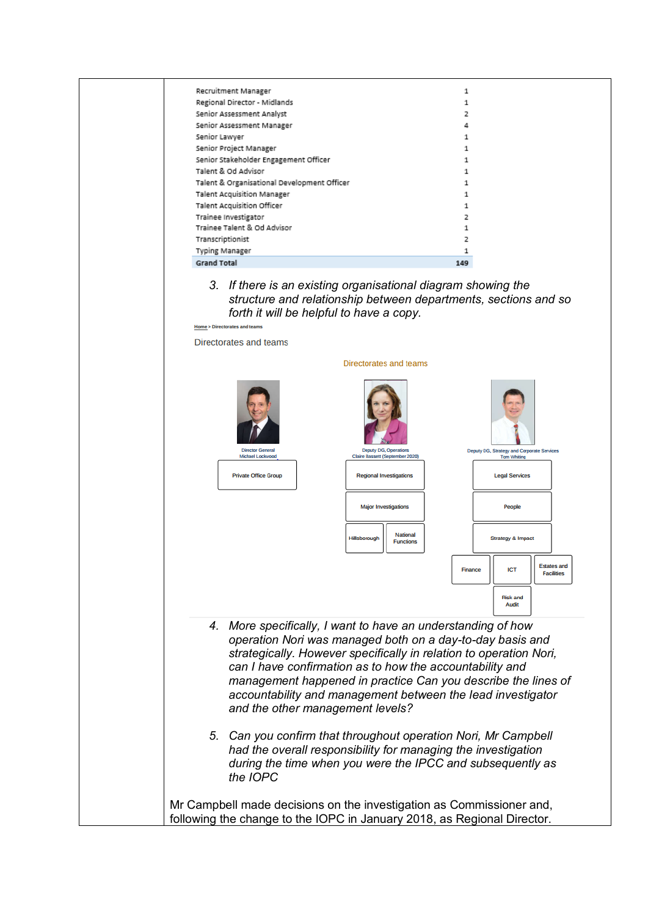| Recruitment Manager                         | 1   |
|---------------------------------------------|-----|
| Regional Director - Midlands                |     |
| Senior Assessment Analyst                   |     |
| Senior Assessment Manager                   |     |
| Senior Lawyer                               |     |
| Senior Project Manager                      |     |
| Senior Stakeholder Engagement Officer       | 1   |
| Talent & Od Advisor                         |     |
| Talent & Organisational Development Officer |     |
| <b>Talent Acquisition Manager</b>           |     |
| Talent Acquisition Officer                  |     |
| Trainee Investigator                        |     |
| Trainee Talent & Od Advisor                 |     |
| Transcriptionist                            | 2   |
| Typing Manager                              |     |
| <b>Grand Total</b>                          | 149 |

*3. If there is an existing organisational diagram showing the structure and relationship between departments, sections and so forth it will be helpful to have a copy.* 

|    | Directorates and teams           |                                                                                                                                                                                    |                                                                                                                                                                                                    |
|----|----------------------------------|------------------------------------------------------------------------------------------------------------------------------------------------------------------------------------|----------------------------------------------------------------------------------------------------------------------------------------------------------------------------------------------------|
|    |                                  | Directorates and teams                                                                                                                                                             |                                                                                                                                                                                                    |
|    | <b>Director General</b>          | <b>Deputy DG, Operations</b>                                                                                                                                                       | Deputy DG, Strategy and Corporate Services                                                                                                                                                         |
|    | Michael Lockwood                 | Claire Bassett (September 2020)                                                                                                                                                    | <b>Tom Whiting</b>                                                                                                                                                                                 |
|    | <b>Private Office Group</b>      | <b>Regional Investigations</b>                                                                                                                                                     | <b>Legal Services</b>                                                                                                                                                                              |
|    |                                  | <b>Major Investigations</b>                                                                                                                                                        | People                                                                                                                                                                                             |
|    |                                  | National<br>Hillsborough<br><b>Functions</b>                                                                                                                                       | <b>Strategy &amp; Impact</b>                                                                                                                                                                       |
|    |                                  |                                                                                                                                                                                    | <b>Estates and</b><br><b>ICT</b><br>Finance<br><b>Facilities</b><br><b>Risk and</b><br>Audit                                                                                                       |
| 4. | and the other management levels? | More specifically, I want to have an understanding of how<br>operation Nori was managed both on a day-to-day basis and<br>can I have confirmation as to how the accountability and | strategically. However specifically in relation to operation Nori,<br>management happened in practice Can you describe the lines of<br>accountability and management between the lead investigator |
| 5. |                                  | Can you confirm that throughout operation Nori, Mr Campbell<br>had the overall responsibility for managing the investigation                                                       | during the time when you were the IPCC and subsequently as                                                                                                                                         |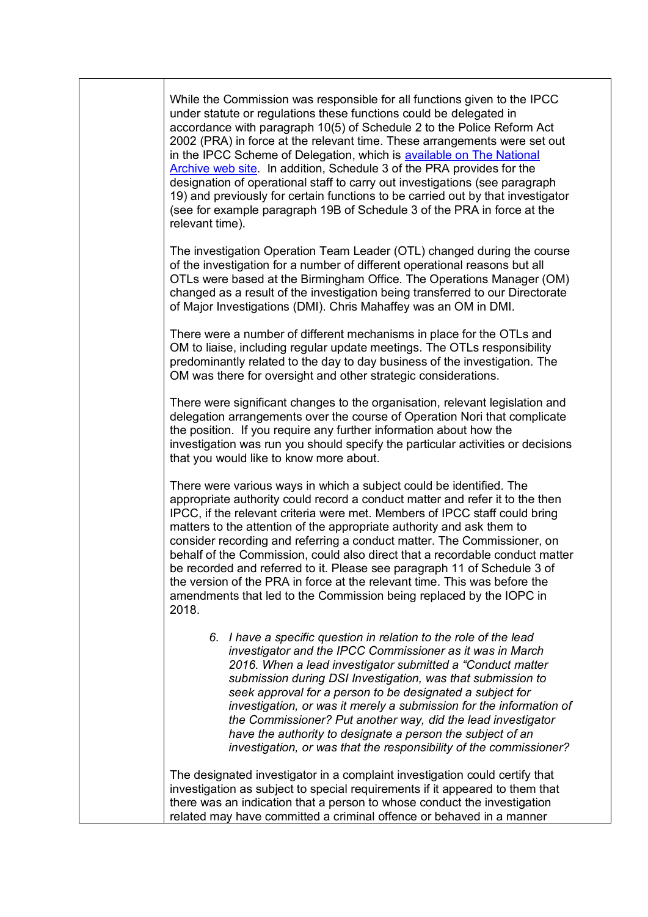While the Commission was responsible for all functions given to the IPCC under statute or regulations these functions could be delegated in accordance with paragraph 10(5) of Schedule 2 to the Police Reform Act 2002 (PRA) in force at the relevant time. These arrangements were set out in the IPCC Scheme of Delegation, which is [available on The National](http://www.ipcc.gov.uk/sites/default/files/Commission%20documents/misc_docs/Scheme_of_Delegation.pdf)  [Archive web site.](http://www.ipcc.gov.uk/sites/default/files/Commission%20documents/misc_docs/Scheme_of_Delegation.pdf) In addition, Schedule 3 of the PRA provides for the designation of operational staff to carry out investigations (see paragraph 19) and previously for certain functions to be carried out by that investigator (see for example paragraph 19B of Schedule 3 of the PRA in force at the relevant time).

The investigation Operation Team Leader (OTL) changed during the course of the investigation for a number of different operational reasons but all OTLs were based at the Birmingham Office. The Operations Manager (OM) changed as a result of the investigation being transferred to our Directorate of Major Investigations (DMI). Chris Mahaffey was an OM in DMI.

There were a number of different mechanisms in place for the OTLs and OM to liaise, including regular update meetings. The OTLs responsibility predominantly related to the day to day business of the investigation. The OM was there for oversight and other strategic considerations.

There were significant changes to the organisation, relevant legislation and delegation arrangements over the course of Operation Nori that complicate the position. If you require any further information about how the investigation was run you should specify the particular activities or decisions that you would like to know more about.

There were various ways in which a subject could be identified. The appropriate authority could record a conduct matter and refer it to the then IPCC, if the relevant criteria were met. Members of IPCC staff could bring matters to the attention of the appropriate authority and ask them to consider recording and referring a conduct matter. The Commissioner, on behalf of the Commission, could also direct that a recordable conduct matter be recorded and referred to it. Please see paragraph 11 of Schedule 3 of the version of the PRA in force at the relevant time. This was before the amendments that led to the Commission being replaced by the IOPC in 2018.

*6. I have a specific question in relation to the role of the lead investigator and the IPCC Commissioner as it was in March 2016. When a lead investigator submitted a "Conduct matter submission during DSI Investigation, was that submission to seek approval for a person to be designated a subject for investigation, or was it merely a submission for the information of the Commissioner? Put another way, did the lead investigator have the authority to designate a person the subject of an investigation, or was that the responsibility of the commissioner?*

The designated investigator in a complaint investigation could certify that investigation as subject to special requirements if it appeared to them that there was an indication that a person to whose conduct the investigation related may have committed a criminal offence or behaved in a manner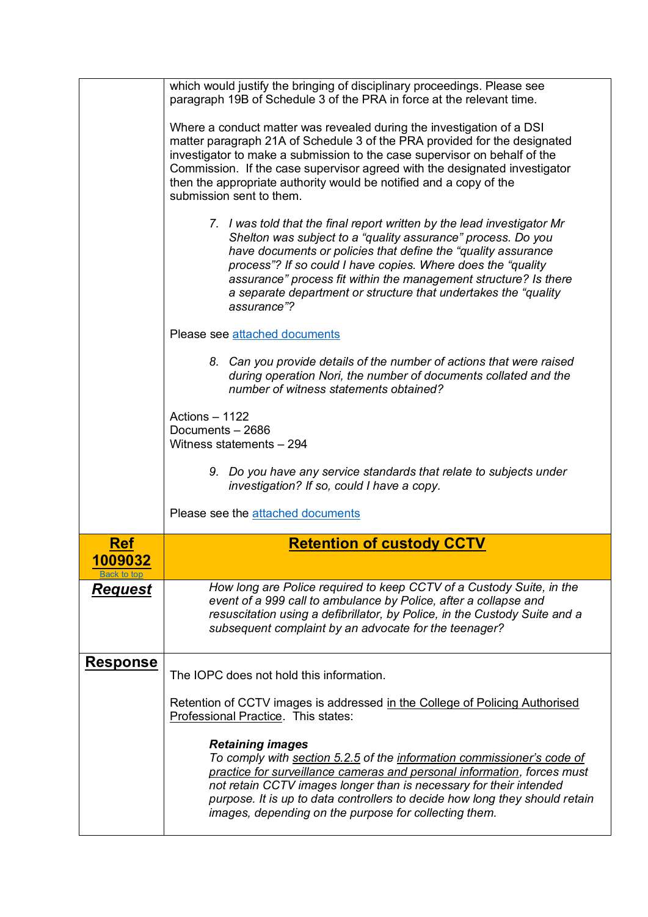<span id="page-5-0"></span>

|                                       | which would justify the bringing of disciplinary proceedings. Please see<br>paragraph 19B of Schedule 3 of the PRA in force at the relevant time.                                                                                                                                                                                                                                                                                 |
|---------------------------------------|-----------------------------------------------------------------------------------------------------------------------------------------------------------------------------------------------------------------------------------------------------------------------------------------------------------------------------------------------------------------------------------------------------------------------------------|
|                                       | Where a conduct matter was revealed during the investigation of a DSI<br>matter paragraph 21A of Schedule 3 of the PRA provided for the designated<br>investigator to make a submission to the case supervisor on behalf of the<br>Commission. If the case supervisor agreed with the designated investigator<br>then the appropriate authority would be notified and a copy of the<br>submission sent to them.                   |
|                                       | 7. I was told that the final report written by the lead investigator Mr<br>Shelton was subject to a "quality assurance" process. Do you<br>have documents or policies that define the "quality assurance"<br>process"? If so could I have copies. Where does the "quality"<br>assurance" process fit within the management structure? Is there<br>a separate department or structure that undertakes the "quality"<br>assurance"? |
|                                       | Please see attached documents                                                                                                                                                                                                                                                                                                                                                                                                     |
|                                       | 8. Can you provide details of the number of actions that were raised<br>during operation Nori, the number of documents collated and the<br>number of witness statements obtained?                                                                                                                                                                                                                                                 |
|                                       | Actions $-1122$<br>Documents - 2686<br>Witness statements - 294                                                                                                                                                                                                                                                                                                                                                                   |
|                                       | 9. Do you have any service standards that relate to subjects under<br>investigation? If so, could I have a copy.                                                                                                                                                                                                                                                                                                                  |
|                                       | Please see the attached documents                                                                                                                                                                                                                                                                                                                                                                                                 |
| Ref                                   | <b>Retention of custody CCTV</b>                                                                                                                                                                                                                                                                                                                                                                                                  |
| <u> 1009032</u><br><u>Back to top</u> |                                                                                                                                                                                                                                                                                                                                                                                                                                   |
| <u>Request</u>                        | How long are Police required to keep CCTV of a Custody Suite, in the<br>event of a 999 call to ambulance by Police, after a collapse and<br>resuscitation using a defibrillator, by Police, in the Custody Suite and a<br>subsequent complaint by an advocate for the teenager?                                                                                                                                                   |
| <b>Response</b>                       | The IOPC does not hold this information.                                                                                                                                                                                                                                                                                                                                                                                          |
|                                       | Retention of CCTV images is addressed in the College of Policing Authorised<br>Professional Practice. This states:                                                                                                                                                                                                                                                                                                                |
|                                       | <b>Retaining images</b><br>To comply with section 5.2.5 of the information commissioner's code of<br>practice for surveillance cameras and personal information, forces must<br>not retain CCTV images longer than is necessary for their intended<br>purpose. It is up to data controllers to decide how long they should retain<br>images, depending on the purpose for collecting them.                                        |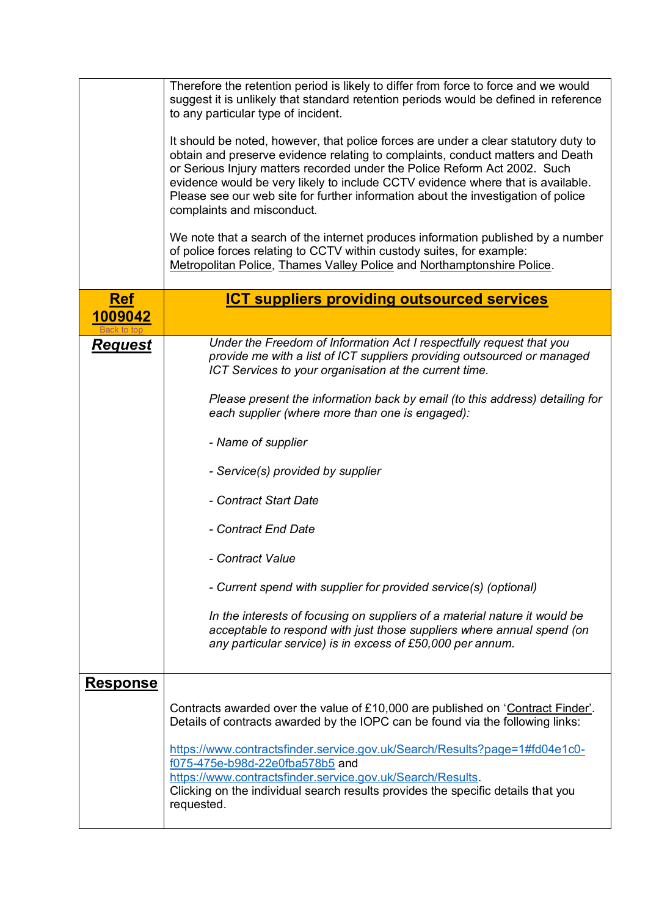<span id="page-6-0"></span>

|                       | Therefore the retention period is likely to differ from force to force and we would<br>suggest it is unlikely that standard retention periods would be defined in reference<br>to any particular type of incident.<br>It should be noted, however, that police forces are under a clear statutory duty to<br>obtain and preserve evidence relating to complaints, conduct matters and Death<br>or Serious Injury matters recorded under the Police Reform Act 2002. Such<br>evidence would be very likely to include CCTV evidence where that is available.<br>Please see our web site for further information about the investigation of police<br>complaints and misconduct.<br>We note that a search of the internet produces information published by a number<br>of police forces relating to CCTV within custody suites, for example:<br>Metropolitan Police, Thames Valley Police and Northamptonshire Police. |
|-----------------------|-----------------------------------------------------------------------------------------------------------------------------------------------------------------------------------------------------------------------------------------------------------------------------------------------------------------------------------------------------------------------------------------------------------------------------------------------------------------------------------------------------------------------------------------------------------------------------------------------------------------------------------------------------------------------------------------------------------------------------------------------------------------------------------------------------------------------------------------------------------------------------------------------------------------------|
| <b>Ref</b><br>1009042 | <b>ICT suppliers providing outsourced services</b>                                                                                                                                                                                                                                                                                                                                                                                                                                                                                                                                                                                                                                                                                                                                                                                                                                                                    |
|                       |                                                                                                                                                                                                                                                                                                                                                                                                                                                                                                                                                                                                                                                                                                                                                                                                                                                                                                                       |
| <u>Request</u>        | Under the Freedom of Information Act I respectfully request that you<br>provide me with a list of ICT suppliers providing outsourced or managed<br>ICT Services to your organisation at the current time.<br>Please present the information back by email (to this address) detailing for<br>each supplier (where more than one is engaged):<br>- Name of supplier<br>- Service(s) provided by supplier<br>- Contract Start Date<br>- Contract End Date<br>- Contract Value<br>- Current spend with supplier for provided service(s) (optional)<br>In the interests of focusing on suppliers of a material nature it would be<br>acceptable to respond with just those suppliers where annual spend (on<br>any particular service) is in excess of £50,000 per annum.                                                                                                                                                 |
| <b>Response</b>       | Contracts awarded over the value of £10,000 are published on 'Contract Finder'.<br>Details of contracts awarded by the IOPC can be found via the following links:<br>https://www.contractsfinder.service.gov.uk/Search/Results?page=1#fd04e1c0-<br>f075-475e-b98d-22e0fba578b5 and<br>https://www.contractsfinder.service.gov.uk/Search/Results.<br>Clicking on the individual search results provides the specific details that you<br>requested.                                                                                                                                                                                                                                                                                                                                                                                                                                                                    |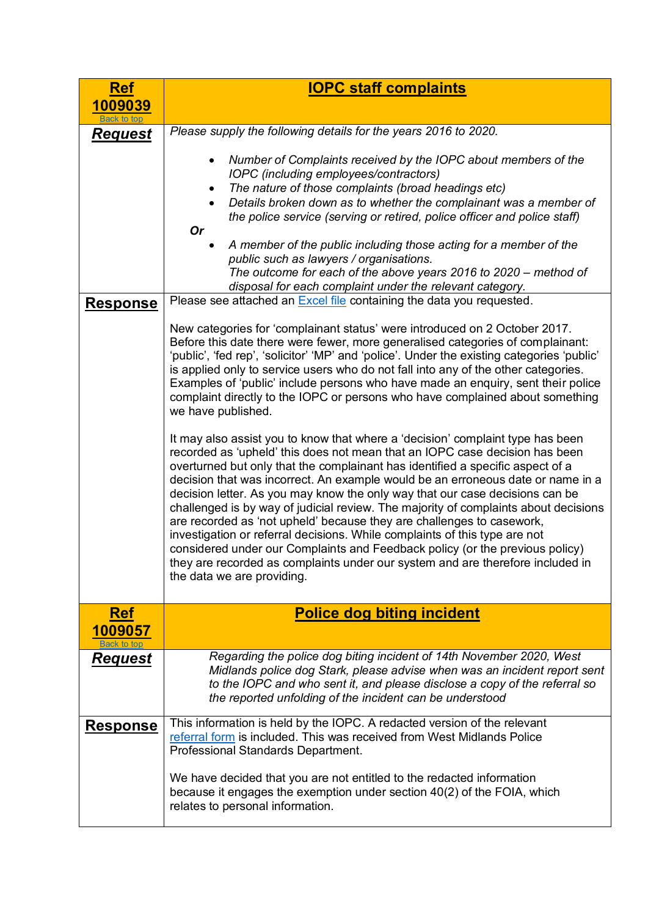<span id="page-7-1"></span><span id="page-7-0"></span>

| <u>Ref</u>                           | <b>IOPC staff complaints</b>                                                                                                                                                                                                                                                                                                                                                                                                                                                                                                                                                                                                                                                                                                                                                                                                                                     |
|--------------------------------------|------------------------------------------------------------------------------------------------------------------------------------------------------------------------------------------------------------------------------------------------------------------------------------------------------------------------------------------------------------------------------------------------------------------------------------------------------------------------------------------------------------------------------------------------------------------------------------------------------------------------------------------------------------------------------------------------------------------------------------------------------------------------------------------------------------------------------------------------------------------|
| 1009039                              |                                                                                                                                                                                                                                                                                                                                                                                                                                                                                                                                                                                                                                                                                                                                                                                                                                                                  |
| <b>Back to top</b><br><b>Request</b> | Please supply the following details for the years 2016 to 2020.                                                                                                                                                                                                                                                                                                                                                                                                                                                                                                                                                                                                                                                                                                                                                                                                  |
| <b>Response</b>                      | Number of Complaints received by the IOPC about members of the<br>$\bullet$<br>IOPC (including employees/contractors)<br>The nature of those complaints (broad headings etc)<br>Details broken down as to whether the complainant was a member of<br>the police service (serving or retired, police officer and police staff)<br><b>Or</b><br>A member of the public including those acting for a member of the<br>public such as lawyers / organisations.<br>The outcome for each of the above years 2016 to 2020 – method of<br>disposal for each complaint under the relevant category.<br>Please see attached an Excel file containing the data you requested.<br>New categories for 'complainant status' were introduced on 2 October 2017.                                                                                                                 |
|                                      | Before this date there were fewer, more generalised categories of complainant:<br>'public', 'fed rep', 'solicitor' 'MP' and 'police'. Under the existing categories 'public'<br>is applied only to service users who do not fall into any of the other categories.<br>Examples of 'public' include persons who have made an enquiry, sent their police<br>complaint directly to the IOPC or persons who have complained about something<br>we have published.                                                                                                                                                                                                                                                                                                                                                                                                    |
|                                      | It may also assist you to know that where a 'decision' complaint type has been<br>recorded as 'upheld' this does not mean that an IOPC case decision has been<br>overturned but only that the complainant has identified a specific aspect of a<br>decision that was incorrect. An example would be an erroneous date or name in a<br>decision letter. As you may know the only way that our case decisions can be<br>challenged is by way of judicial review. The majority of complaints about decisions<br>are recorded as 'not upheld' because they are challenges to casework,<br>investigation or referral decisions. While complaints of this type are not<br>considered under our Complaints and Feedback policy (or the previous policy)<br>they are recorded as complaints under our system and are therefore included in<br>the data we are providing. |
| <u>Ref</u>                           | <b>Police dog biting incident</b>                                                                                                                                                                                                                                                                                                                                                                                                                                                                                                                                                                                                                                                                                                                                                                                                                                |
| 1009057                              |                                                                                                                                                                                                                                                                                                                                                                                                                                                                                                                                                                                                                                                                                                                                                                                                                                                                  |
| Request                              | Regarding the police dog biting incident of 14th November 2020, West<br>Midlands police dog Stark, please advise when was an incident report sent<br>to the IOPC and who sent it, and please disclose a copy of the referral so<br>the reported unfolding of the incident can be understood                                                                                                                                                                                                                                                                                                                                                                                                                                                                                                                                                                      |
| <b>Response</b>                      | This information is held by the IOPC. A redacted version of the relevant<br>referral form is included. This was received from West Midlands Police<br>Professional Standards Department.<br>We have decided that you are not entitled to the redacted information<br>because it engages the exemption under section 40(2) of the FOIA, which<br>relates to personal information.                                                                                                                                                                                                                                                                                                                                                                                                                                                                                 |
|                                      |                                                                                                                                                                                                                                                                                                                                                                                                                                                                                                                                                                                                                                                                                                                                                                                                                                                                  |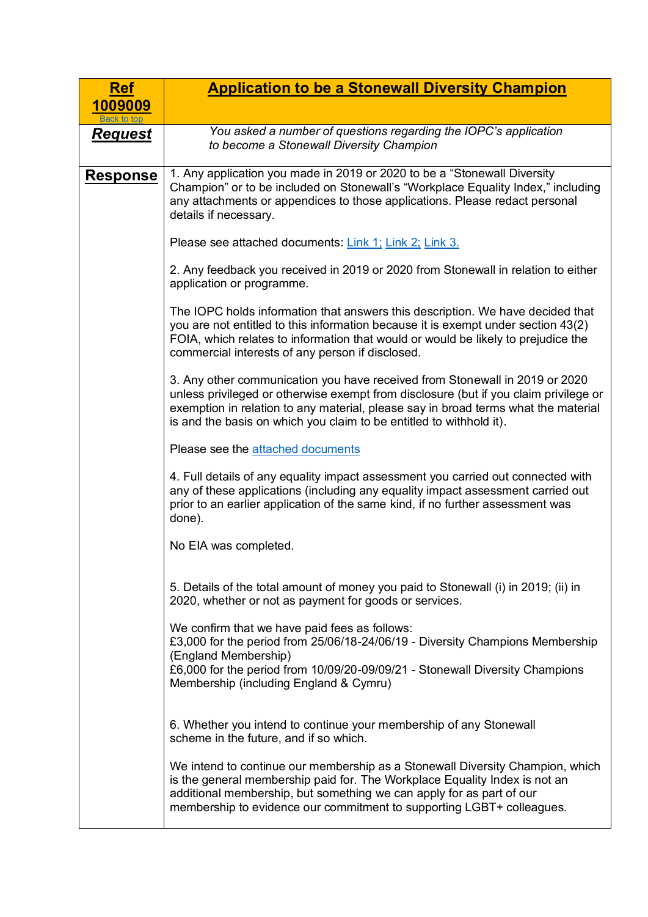<span id="page-8-0"></span>

| <b>Ref</b>      | <b>Application to be a Stonewall Diversity Champion</b>                                                                                                                                                                                                                                                                          |
|-----------------|----------------------------------------------------------------------------------------------------------------------------------------------------------------------------------------------------------------------------------------------------------------------------------------------------------------------------------|
| 1009009         |                                                                                                                                                                                                                                                                                                                                  |
| <b>Request</b>  | You asked a number of questions regarding the IOPC's application<br>to become a Stonewall Diversity Champion                                                                                                                                                                                                                     |
| <u>Response</u> | 1. Any application you made in 2019 or 2020 to be a "Stonewall Diversity<br>Champion" or to be included on Stonewall's "Workplace Equality Index," including<br>any attachments or appendices to those applications. Please redact personal<br>details if necessary.                                                             |
|                 | Please see attached documents: Link 1; Link 2; Link 3.                                                                                                                                                                                                                                                                           |
|                 | 2. Any feedback you received in 2019 or 2020 from Stonewall in relation to either<br>application or programme.                                                                                                                                                                                                                   |
|                 | The IOPC holds information that answers this description. We have decided that<br>you are not entitled to this information because it is exempt under section 43(2)<br>FOIA, which relates to information that would or would be likely to prejudice the<br>commercial interests of any person if disclosed.                     |
|                 | 3. Any other communication you have received from Stonewall in 2019 or 2020<br>unless privileged or otherwise exempt from disclosure (but if you claim privilege or<br>exemption in relation to any material, please say in broad terms what the material<br>is and the basis on which you claim to be entitled to withhold it). |
|                 | Please see the <b>attached documents</b>                                                                                                                                                                                                                                                                                         |
|                 | 4. Full details of any equality impact assessment you carried out connected with<br>any of these applications (including any equality impact assessment carried out<br>prior to an earlier application of the same kind, if no further assessment was<br>done).                                                                  |
|                 | No EIA was completed.                                                                                                                                                                                                                                                                                                            |
|                 | 5. Details of the total amount of money you paid to Stonewall (i) in 2019; (ii) in<br>2020, whether or not as payment for goods or services.                                                                                                                                                                                     |
|                 | We confirm that we have paid fees as follows:<br>£3,000 for the period from 25/06/18-24/06/19 - Diversity Champions Membership<br>(England Membership)<br>£6,000 for the period from 10/09/20-09/09/21 - Stonewall Diversity Champions<br>Membership (including England & Cymru)                                                 |
|                 | 6. Whether you intend to continue your membership of any Stonewall<br>scheme in the future, and if so which.                                                                                                                                                                                                                     |
|                 | We intend to continue our membership as a Stonewall Diversity Champion, which<br>is the general membership paid for. The Workplace Equality Index is not an<br>additional membership, but something we can apply for as part of our<br>membership to evidence our commitment to supporting LGBT+ colleagues.                     |